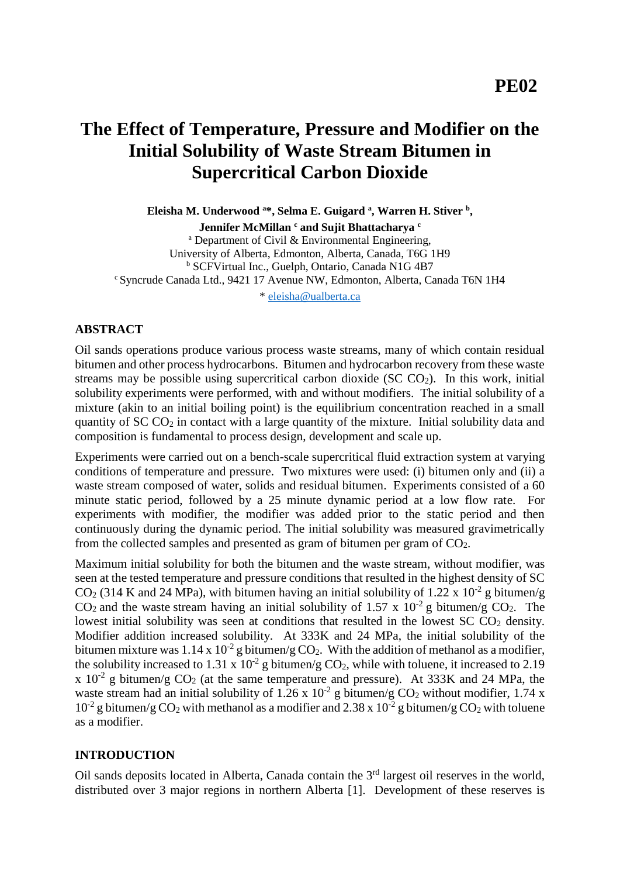# **The Effect of Temperature, Pressure and Modifier on the Initial Solubility of Waste Stream Bitumen in Supercritical Carbon Dioxide**

**Eleisha M. Underwood <sup>a</sup>\*, Selma E. Guigard <sup>a</sup> , Warren H. Stiver <sup>b</sup> ,**

**Jennifer McMillan <sup>c</sup> and Sujit Bhattacharya <sup>c</sup>** <sup>a</sup> Department of Civil  $& Environment$  Environmental Engineering, University of Alberta, Edmonton, Alberta, Canada, T6G 1H9 <sup>b</sup> SCFVirtual Inc., Guelph, Ontario, Canada N1G 4B7 <sup>c</sup>Syncrude Canada Ltd., 9421 17 Avenue NW, Edmonton, Alberta, Canada T6N 1H4

\* [eleisha@ualberta.ca](mailto:eleisha@ualberta.ca)

#### **ABSTRACT**

Oil sands operations produce various process waste streams, many of which contain residual bitumen and other process hydrocarbons. Bitumen and hydrocarbon recovery from these waste streams may be possible using supercritical carbon dioxide (SC  $CO<sub>2</sub>$ ). In this work, initial solubility experiments were performed, with and without modifiers. The initial solubility of a mixture (akin to an initial boiling point) is the equilibrium concentration reached in a small quantity of  $SCCO<sub>2</sub>$  in contact with a large quantity of the mixture. Initial solubility data and composition is fundamental to process design, development and scale up.

Experiments were carried out on a bench-scale supercritical fluid extraction system at varying conditions of temperature and pressure. Two mixtures were used: (i) bitumen only and (ii) a waste stream composed of water, solids and residual bitumen. Experiments consisted of a 60 minute static period, followed by a 25 minute dynamic period at a low flow rate. For experiments with modifier, the modifier was added prior to the static period and then continuously during the dynamic period. The initial solubility was measured gravimetrically from the collected samples and presented as gram of bitumen per gram of  $CO<sub>2</sub>$ .

Maximum initial solubility for both the bitumen and the waste stream, without modifier, was seen at the tested temperature and pressure conditions that resulted in the highest density of SC  $CO<sub>2</sub>$  (314 K and 24 MPa), with bitumen having an initial solubility of 1.22 x 10<sup>-2</sup> g bitumen/g  $CO<sub>2</sub>$  and the waste stream having an initial solubility of 1.57 x 10<sup>-2</sup> g bitumen/g  $CO<sub>2</sub>$ . The lowest initial solubility was seen at conditions that resulted in the lowest  $SCCO<sub>2</sub>$  density. Modifier addition increased solubility. At 333K and 24 MPa, the initial solubility of the bitumen mixture was 1.14 x  $10^{-2}$  g bitumen/g CO<sub>2</sub>. With the addition of methanol as a modifier, the solubility increased to 1.31 x  $10^{-2}$  g bitumen/g CO<sub>2</sub>, while with toluene, it increased to 2.19 x  $10^{-2}$  g bitumen/g CO<sub>2</sub> (at the same temperature and pressure). At 333K and 24 MPa, the waste stream had an initial solubility of 1.26 x  $10^{-2}$  g bitumen/g CO<sub>2</sub> without modifier, 1.74 x  $10^{-2}$  g bitumen/g CO<sub>2</sub> with methanol as a modifier and 2.38 x  $10^{-2}$  g bitumen/g CO<sub>2</sub> with toluene as a modifier.

#### **INTRODUCTION**

Oil sands deposits located in Alberta, Canada contain the 3<sup>rd</sup> largest oil reserves in the world, distributed over 3 major regions in northern Alberta [1]. Development of these reserves is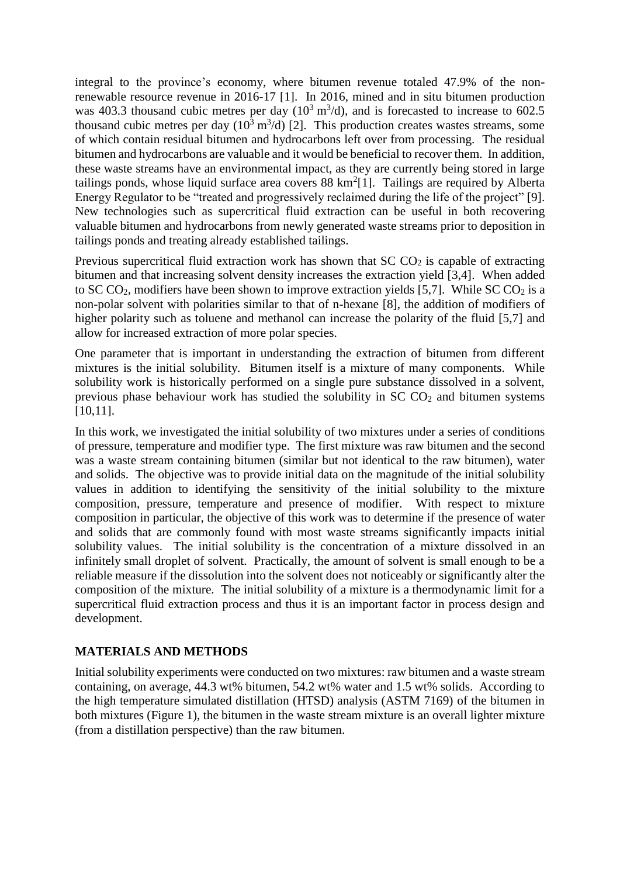integral to the province's economy, where bitumen revenue totaled 47.9% of the nonrenewable resource revenue in 2016-17 [1]. In 2016, mined and in situ bitumen production was 403.3 thousand cubic metres per day  $(10^3 \text{ m}^3/d)$ , and is forecasted to increase to 602.5 thousand cubic metres per day  $(10^3 \text{ m}^3/\text{d})$  [2]. This production creates wastes streams, some of which contain residual bitumen and hydrocarbons left over from processing. The residual bitumen and hydrocarbons are valuable and it would be beneficial to recover them. In addition, these waste streams have an environmental impact, as they are currently being stored in large tailings ponds, whose liquid surface area covers  $88 \text{ km}^2[1]$ . Tailings are required by Alberta Energy Regulator to be "treated and progressively reclaimed during the life of the project" [9]. New technologies such as supercritical fluid extraction can be useful in both recovering valuable bitumen and hydrocarbons from newly generated waste streams prior to deposition in tailings ponds and treating already established tailings.

Previous supercritical fluid extraction work has shown that  $SCCO<sub>2</sub>$  is capable of extracting bitumen and that increasing solvent density increases the extraction yield [3,4]. When added to SC CO<sub>2</sub>, modifiers have been shown to improve extraction yields [5,7]. While SC CO<sub>2</sub> is a non-polar solvent with polarities similar to that of n-hexane [8], the addition of modifiers of higher polarity such as toluene and methanol can increase the polarity of the fluid [5,7] and allow for increased extraction of more polar species.

One parameter that is important in understanding the extraction of bitumen from different mixtures is the initial solubility. Bitumen itself is a mixture of many components. While solubility work is historically performed on a single pure substance dissolved in a solvent, previous phase behaviour work has studied the solubility in  $SCCO<sub>2</sub>$  and bitumen systems [10,11].

In this work, we investigated the initial solubility of two mixtures under a series of conditions of pressure, temperature and modifier type. The first mixture was raw bitumen and the second was a waste stream containing bitumen (similar but not identical to the raw bitumen), water and solids. The objective was to provide initial data on the magnitude of the initial solubility values in addition to identifying the sensitivity of the initial solubility to the mixture composition, pressure, temperature and presence of modifier. With respect to mixture composition in particular, the objective of this work was to determine if the presence of water and solids that are commonly found with most waste streams significantly impacts initial solubility values. The initial solubility is the concentration of a mixture dissolved in an infinitely small droplet of solvent. Practically, the amount of solvent is small enough to be a reliable measure if the dissolution into the solvent does not noticeably or significantly alter the composition of the mixture. The initial solubility of a mixture is a thermodynamic limit for a supercritical fluid extraction process and thus it is an important factor in process design and development.

## **MATERIALS AND METHODS**

Initial solubility experiments were conducted on two mixtures: raw bitumen and a waste stream containing, on average, 44.3 wt% bitumen, 54.2 wt% water and 1.5 wt% solids. According to the high temperature simulated distillation (HTSD) analysis (ASTM 7169) of the bitumen in both mixtures (Figure 1), the bitumen in the waste stream mixture is an overall lighter mixture (from a distillation perspective) than the raw bitumen.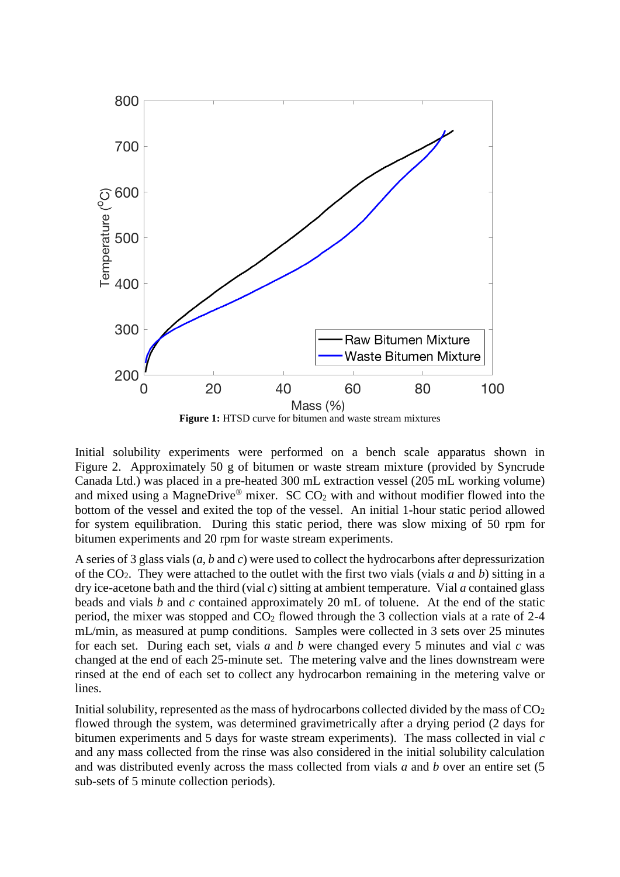

Initial solubility experiments were performed on a bench scale apparatus shown in Figure 2. Approximately 50 g of bitumen or waste stream mixture (provided by Syncrude Canada Ltd.) was placed in a pre-heated 300 mL extraction vessel (205 mL working volume) and mixed using a MagneDrive<sup>®</sup> mixer. SC  $CO<sub>2</sub>$  with and without modifier flowed into the bottom of the vessel and exited the top of the vessel. An initial 1-hour static period allowed for system equilibration. During this static period, there was slow mixing of 50 rpm for bitumen experiments and 20 rpm for waste stream experiments.

A series of 3 glass vials (*a*, *b* and *c*) were used to collect the hydrocarbons after depressurization of the CO2. They were attached to the outlet with the first two vials (vials *a* and *b*) sitting in a dry ice-acetone bath and the third (vial *c*) sitting at ambient temperature. Vial *a* contained glass beads and vials *b* and *c* contained approximately 20 mL of toluene. At the end of the static period, the mixer was stopped and  $CO<sub>2</sub>$  flowed through the 3 collection vials at a rate of 2-4 mL/min, as measured at pump conditions. Samples were collected in 3 sets over 25 minutes for each set. During each set, vials *a* and *b* were changed every 5 minutes and vial *c* was changed at the end of each 25-minute set. The metering valve and the lines downstream were rinsed at the end of each set to collect any hydrocarbon remaining in the metering valve or lines.

Initial solubility, represented as the mass of hydrocarbons collected divided by the mass of  $CO<sub>2</sub>$ flowed through the system, was determined gravimetrically after a drying period (2 days for bitumen experiments and 5 days for waste stream experiments). The mass collected in vial *c* and any mass collected from the rinse was also considered in the initial solubility calculation and was distributed evenly across the mass collected from vials *a* and *b* over an entire set (5 sub-sets of 5 minute collection periods).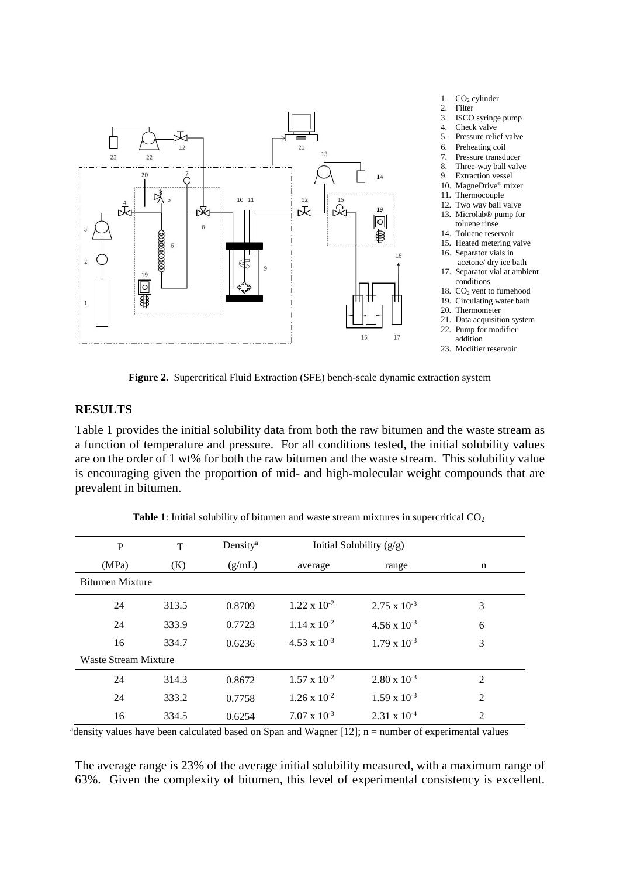

**Figure 2.** Supercritical Fluid Extraction (SFE) bench-scale dynamic extraction system

#### **RESULTS**

Table 1 provides the initial solubility data from both the raw bitumen and the waste stream as a function of temperature and pressure. For all conditions tested, the initial solubility values are on the order of 1 wt% for both the raw bitumen and the waste stream. This solubility value is encouraging given the proportion of mid- and high-molecular weight compounds that are prevalent in bitumen.

| $\mathbf{P}$           | T     | Density <sup>a</sup> | Initial Solubility $(g/g)$ |                       |                |  |  |
|------------------------|-------|----------------------|----------------------------|-----------------------|----------------|--|--|
| (MPa)                  | (K)   | (g/mL)               | average                    | range                 | n              |  |  |
| <b>Bitumen Mixture</b> |       |                      |                            |                       |                |  |  |
| 24                     | 313.5 | 0.8709               | $1.22 \times 10^{-2}$      | $2.75 \times 10^{-3}$ | 3              |  |  |
| 24                     | 333.9 | 0.7723               | $1.14 \times 10^{-2}$      | $4.56 \times 10^{-3}$ | 6              |  |  |
| 16                     | 334.7 | 0.6236               | $4.53 \times 10^{-3}$      | $1.79 \times 10^{-3}$ | 3              |  |  |
| Waste Stream Mixture   |       |                      |                            |                       |                |  |  |
| 24                     | 314.3 | 0.8672               | $1.57 \times 10^{-2}$      | $2.80 \times 10^{-3}$ | $\overline{2}$ |  |  |
| 24                     | 333.2 | 0.7758               | $1.26 \times 10^{-2}$      | $1.59 \times 10^{-3}$ | $\overline{2}$ |  |  |
| 16                     | 334.5 | 0.6254               | $7.07 \times 10^{-3}$      | $2.31 \times 10^{-4}$ | $\overline{2}$ |  |  |

Table 1: Initial solubility of bitumen and waste stream mixtures in supercritical CO<sub>2</sub>

 $a$ density values have been calculated based on Span and Wagner [12]; n = number of experimental values

The average range is 23% of the average initial solubility measured, with a maximum range of 63%. Given the complexity of bitumen, this level of experimental consistency is excellent.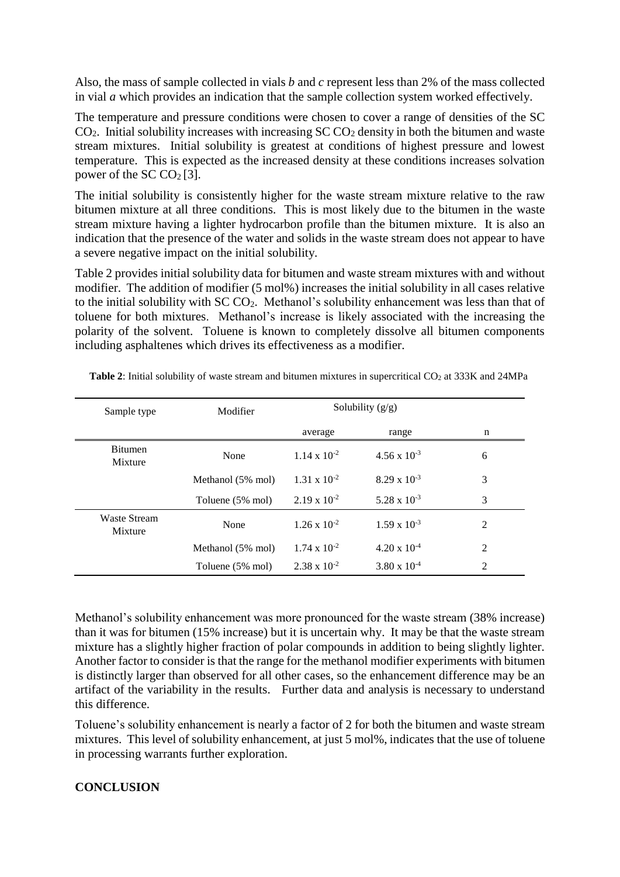Also, the mass of sample collected in vials *b* and *c* represent less than 2% of the mass collected in vial *a* which provides an indication that the sample collection system worked effectively.

The temperature and pressure conditions were chosen to cover a range of densities of the SC  $CO<sub>2</sub>$ . Initial solubility increases with increasing SC  $CO<sub>2</sub>$  density in both the bitumen and waste stream mixtures. Initial solubility is greatest at conditions of highest pressure and lowest temperature. This is expected as the increased density at these conditions increases solvation power of the SC  $CO<sub>2</sub>[3]$ .

The initial solubility is consistently higher for the waste stream mixture relative to the raw bitumen mixture at all three conditions. This is most likely due to the bitumen in the waste stream mixture having a lighter hydrocarbon profile than the bitumen mixture. It is also an indication that the presence of the water and solids in the waste stream does not appear to have a severe negative impact on the initial solubility.

Table 2 provides initial solubility data for bitumen and waste stream mixtures with and without modifier. The addition of modifier (5 mol%) increases the initial solubility in all cases relative to the initial solubility with SC CO<sub>2</sub>. Methanol's solubility enhancement was less than that of toluene for both mixtures. Methanol's increase is likely associated with the increasing the polarity of the solvent. Toluene is known to completely dissolve all bitumen components including asphaltenes which drives its effectiveness as a modifier.

| Sample type                    | Modifier          |                       | Solubility $(g/g)$    |   |
|--------------------------------|-------------------|-----------------------|-----------------------|---|
|                                |                   | average               | range                 | n |
| <b>Bitumen</b><br>Mixture      | None              | $1.14 \times 10^{-2}$ | $4.56 \times 10^{-3}$ | 6 |
|                                | Methanol (5% mol) | $1.31 \times 10^{-2}$ | $8.29 \times 10^{-3}$ | 3 |
|                                | Toluene (5% mol)  | $2.19 \times 10^{-2}$ | $5.28 \times 10^{-3}$ | 3 |
| <b>Waste Stream</b><br>Mixture | None              | $1.26 \times 10^{-2}$ | $1.59 \times 10^{-3}$ | 2 |
|                                | Methanol (5% mol) | $1.74 \times 10^{-2}$ | $4.20 \times 10^{-4}$ | 2 |
|                                | Toluene (5% mol)  | $2.38 \times 10^{-2}$ | $3.80 \times 10^{-4}$ | 2 |

Table 2: Initial solubility of waste stream and bitumen mixtures in supercritical CO<sub>2</sub> at 333K and 24MPa

Methanol's solubility enhancement was more pronounced for the waste stream (38% increase) than it was for bitumen (15% increase) but it is uncertain why. It may be that the waste stream mixture has a slightly higher fraction of polar compounds in addition to being slightly lighter. Another factor to consider is that the range for the methanol modifier experiments with bitumen is distinctly larger than observed for all other cases, so the enhancement difference may be an artifact of the variability in the results. Further data and analysis is necessary to understand this difference.

Toluene's solubility enhancement is nearly a factor of 2 for both the bitumen and waste stream mixtures. This level of solubility enhancement, at just 5 mol%, indicates that the use of toluene in processing warrants further exploration.

# **CONCLUSION**